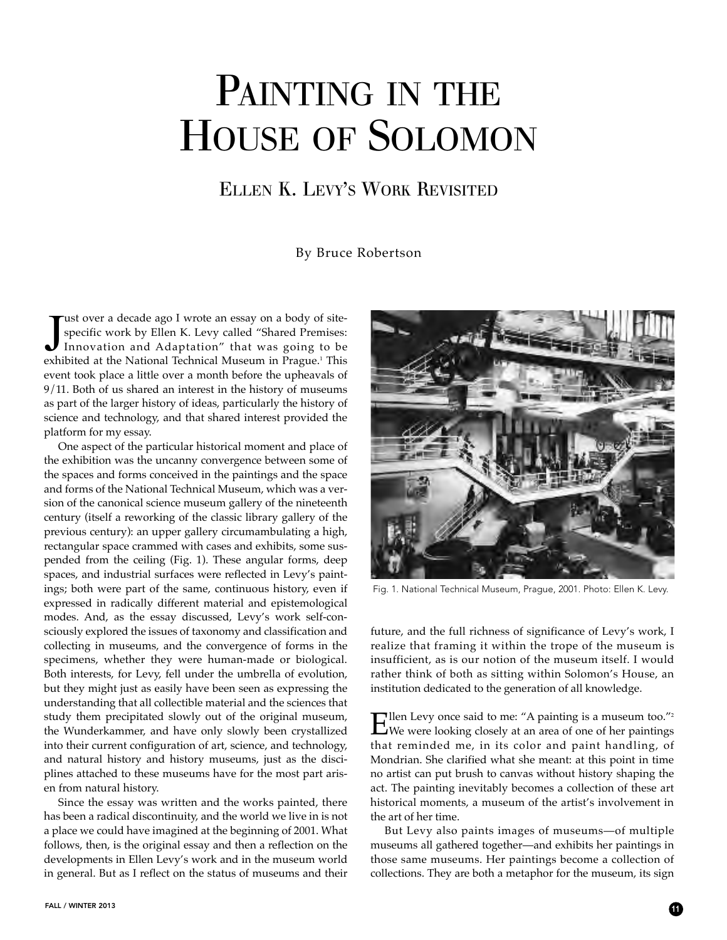## PAINTING IN THE HOUSE OF SOLOMON

## ELLEN K. LEVY'S WORK REVISITED

## By Bruce Robertson

Tust over a decade ago I wrote an essay on a body of site-<br>specific work by Ellen K. Levy called "Shared Premises:<br>Innovation and Adaptation" that was going to be-<br>exhibited at the National Technical Museum in Prague <sup>1</sup> T ust over a decade ago I wrote an essay on a body of sitespecific work by Ellen K. Levy called "Shared Premises: exhibited at the National Technical Museum in Prague.<sup>1</sup> This event took place a little over a month before the upheavals of 9/11. Both of us shared an interest in the history of museums as part of the larger history of ideas, particularly the history of science and technology, and that shared interest provided the platform for my essay.

One aspect of the particular historical moment and place of the exhibition was the uncanny convergence between some of the spaces and forms conceived in the paintings and the space and forms of the National Technical Museum, which was a version of the canonical science museum gallery of the nineteenth century (itself a reworking of the classic library gallery of the previous century): an upper gallery circumambulating a high, rectangular space crammed with cases and exhibits, some suspended from the ceiling (Fig. 1). These angular forms, deep spaces, and industrial surfaces were reflected in Levy's paintings; both were part of the same, continuous history, even if expressed in radically different material and epistemological modes. And, as the essay discussed, Levy's work self-consciously explored the issues of taxonomy and classification and collecting in museums, and the convergence of forms in the specimens, whether they were human-made or biological. Both interests, for Levy, fell under the umbrella of evolution, but they might just as easily have been seen as expressing the understanding that all collectible material and the sciences that study them precipitated slowly out of the original museum, the Wunderkammer, and have only slowly been crystallized into their current configuration of art, science, and technology, and natural history and history museums, just as the disciplines attached to these museums have for the most part arisen from natural history.

Since the essay was written and the works painted, there has been a radical discontinuity, and the world we live in is not a place we could have imagined at the beginning of 2001. What follows, then, is the original essay and then a reflection on the developments in Ellen Levy's work and in the museum world in general. But as I reflect on the status of museums and their



Fig. 1. National Technical Museum, Prague, 2001. Photo: Ellen K. Levy.

future, and the full richness of significance of Levy's work, I realize that framing it within the trope of the museum is insufficient, as is our notion of the museum itself. I would rather think of both as sitting within Solomon's House, an institution dedicated to the generation of all knowledge.

Ellen Levy once said to me: "A painting is a museum too."2 We were looking closely at an area of one of her paintings that reminded me, in its color and paint handling, of Mondrian. She clarified what she meant: at this point in time no artist can put brush to canvas without history shaping the act. The painting inevitably becomes a collection of these art historical moments, a museum of the artist's involvement in the art of her time.

But Levy also paints images of museums—of multiple museums all gathered together—and exhibits her paintings in those same museums. Her paintings become a collection of collections. They are both a metaphor for the museum, its sign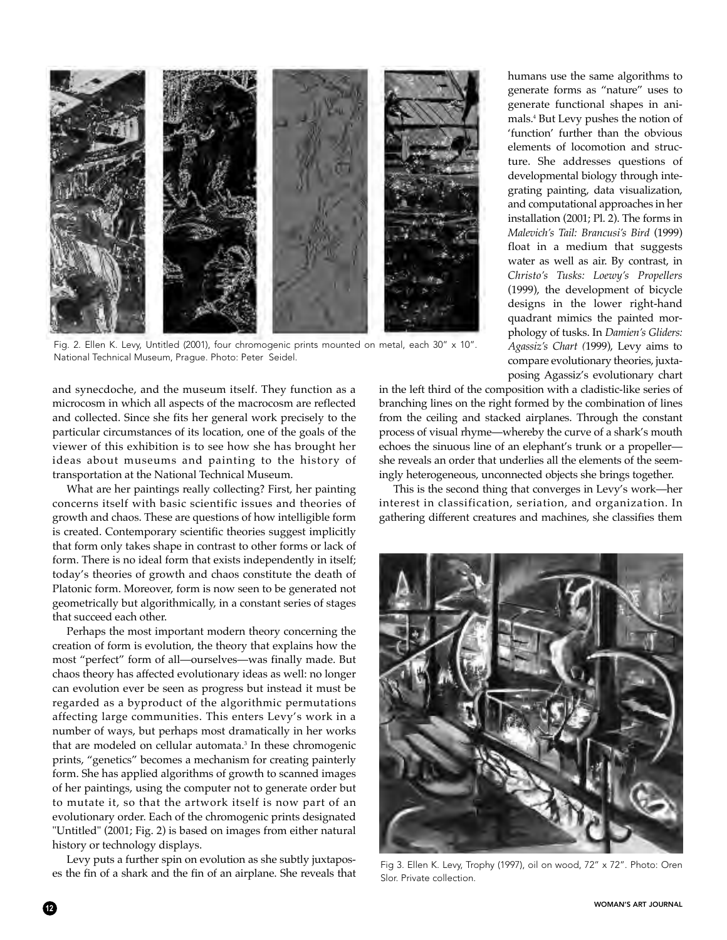

Fig. 2. Ellen K. Levy, Untitled (2001), four chromogenic prints mounted on metal, each 30" x 10". National Technical Museum, Prague. Photo: Peter Seidel.

and synecdoche, and the museum itself. They function as a microcosm in which all aspects of the macrocosm are reflected and collected. Since she fits her general work precisely to the particular circumstances of its location, one of the goals of the viewer of this exhibition is to see how she has brought her ideas about museums and painting to the history of transportation at the National Technical Museum.

What are her paintings really collecting? First, her painting concerns itself with basic scientific issues and theories of growth and chaos. These are questions of how intelligible form is created. Contemporary scientific theories suggest implicitly that form only takes shape in contrast to other forms or lack of form. There is no ideal form that exists independently in itself; today's theories of growth and chaos constitute the death of Platonic form. Moreover, form is now seen to be generated not geometrically but algorithmically, in a constant series of stages that succeed each other.

Perhaps the most important modern theory concerning the creation of form is evolution, the theory that explains how the most "perfect" form of all—ourselves—was finally made. But chaos theory has affected evolutionary ideas as well: no longer can evolution ever be seen as progress but instead it must be regarded as a byproduct of the algorithmic permutations affecting large communities. This enters Levy's work in a number of ways, but perhaps most dramatically in her works that are modeled on cellular automata.<sup>3</sup> In these chromogenic prints, "genetics" becomes a mechanism for creating painterly form. She has applied algorithms of growth to scanned images of her paintings, using the computer not to generate order but to mutate it, so that the artwork itself is now part of an evolutionary order. Each of the chromogenic prints designated "Untitled" (2001; Fig. 2) is based on images from either natural history or technology displays.

Levy puts a further spin on evolution as she subtly juxtaposes the fin of a shark and the fin of an airplane. She reveals that humans use the same algorithms to generate forms as "nature" uses to generate functional shapes in animals.4 But Levy pushes the notion of 'function' further than the obvious elements of locomotion and structure. She addresses questions of developmental biology through integrating painting, data visualization, and computational approaches in her installation (2001; Pl. 2). The forms in *Malevich's Tail: Brancusi's Bird* (1999) float in a medium that suggests water as well as air. By contrast, in *Christo's Tusks: Loewy's Propellers* (1999), the development of bicycle designs in the lower right-hand quadrant mimics the painted morphology of tusks. In *Damien's Gliders: Agassiz's Chart (*1999), Levy aims to compare evolutionary theories, juxtaposing Agassiz's evolutionary chart

in the left third of the composition with a cladistic-like series of branching lines on the right formed by the combination of lines from the ceiling and stacked airplanes. Through the constant process of visual rhyme—whereby the curve of a shark's mouth echoes the sinuous line of an elephant's trunk or a propeller she reveals an order that underlies all the elements of the seemingly heterogeneous, unconnected objects she brings together.

This is the second thing that converges in Levy's work—her interest in classification, seriation, and organization. In gathering different creatures and machines, she classifies them



Fig 3. Ellen K. Levy, Trophy (1997), oil on wood, 72" x 72". Photo: Oren Slor. Private collection.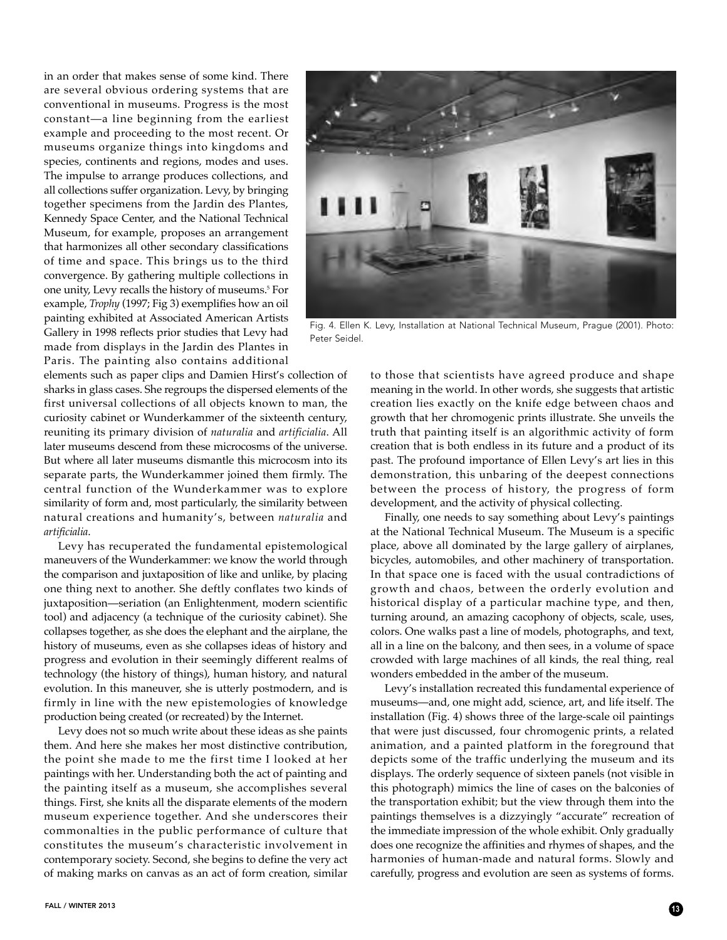in an order that makes sense of some kind. There are several obvious ordering systems that are conventional in museums. Progress is the most constant—a line beginning from the earliest example and proceeding to the most recent. Or museums organize things into kingdoms and species, continents and regions, modes and uses. The impulse to arrange produces collections, and all collections suffer organization. Levy, by bringing together specimens from the Jardin des Plantes, Kennedy Space Center, and the National Technical Museum, for example, proposes an arrangement that harmonizes all other secondary classifications of time and space. This brings us to the third convergence. By gathering multiple collections in one unity, Levy recalls the history of museums.5 For example, *Trophy* (1997; Fig 3) exemplifies how an oil painting exhibited at Associated American Artists Gallery in 1998 reflects prior studies that Levy had made from displays in the Jardin des Plantes in Paris. The painting also contains additional



Fig. 4. Ellen K. Levy, Installation at National Technical Museum, Prague (2001). Photo: Peter Seidel.

elements such as paper clips and Damien Hirst's collection of sharks in glass cases. She regroups the dispersed elements of the first universal collections of all objects known to man, the curiosity cabinet or Wunderkammer of the sixteenth century, reuniting its primary division of *naturalia* and *artificialia*. All later museums descend from these microcosms of the universe. But where all later museums dismantle this microcosm into its separate parts, the Wunderkammer joined them firmly. The central function of the Wunderkammer was to explore similarity of form and, most particularly, the similarity between natural creations and humanity's, between *naturalia* and *artificialia*.

Levy has recuperated the fundamental epistemological maneuvers of the Wunderkammer: we know the world through the comparison and juxtaposition of like and unlike, by placing one thing next to another. She deftly conflates two kinds of juxtaposition—seriation (an Enlightenment, modern scientific tool) and adjacency (a technique of the curiosity cabinet). She collapses together, as she does the elephant and the airplane, the history of museums, even as she collapses ideas of history and progress and evolution in their seemingly different realms of technology (the history of things), human history, and natural evolution. In this maneuver, she is utterly postmodern, and is firmly in line with the new epistemologies of knowledge production being created (or recreated) by the Internet.

Levy does not so much write about these ideas as she paints them. And here she makes her most distinctive contribution, the point she made to me the first time I looked at her paintings with her. Understanding both the act of painting and the painting itself as a museum, she accomplishes several things. First, she knits all the disparate elements of the modern museum experience together. And she underscores their commonalties in the public performance of culture that constitutes the museum's characteristic involvement in contemporary society. Second, she begins to define the very act of making marks on canvas as an act of form creation, similar to those that scientists have agreed produce and shape meaning in the world. In other words, she suggests that artistic creation lies exactly on the knife edge between chaos and growth that her chromogenic prints illustrate. She unveils the truth that painting itself is an algorithmic activity of form creation that is both endless in its future and a product of its past. The profound importance of Ellen Levy's art lies in this demonstration, this unbaring of the deepest connections between the process of history, the progress of form development, and the activity of physical collecting.

Finally, one needs to say something about Levy's paintings at the National Technical Museum. The Museum is a specific place, above all dominated by the large gallery of airplanes, bicycles, automobiles, and other machinery of transportation. In that space one is faced with the usual contradictions of growth and chaos, between the orderly evolution and historical display of a particular machine type, and then, turning around, an amazing cacophony of objects, scale, uses, colors. One walks past a line of models, photographs, and text, all in a line on the balcony, and then sees, in a volume of space crowded with large machines of all kinds, the real thing, real wonders embedded in the amber of the museum.

Levy's installation recreated this fundamental experience of museums—and, one might add, science, art, and life itself. The installation (Fig. 4) shows three of the large-scale oil paintings that were just discussed, four chromogenic prints, a related animation, and a painted platform in the foreground that depicts some of the traffic underlying the museum and its displays. The orderly sequence of sixteen panels (not visible in this photograph) mimics the line of cases on the balconies of the transportation exhibit; but the view through them into the paintings themselves is a dizzyingly "accurate" recreation of the immediate impression of the whole exhibit. Only gradually does one recognize the affinities and rhymes of shapes, and the harmonies of human-made and natural forms. Slowly and carefully, progress and evolution are seen as systems of forms.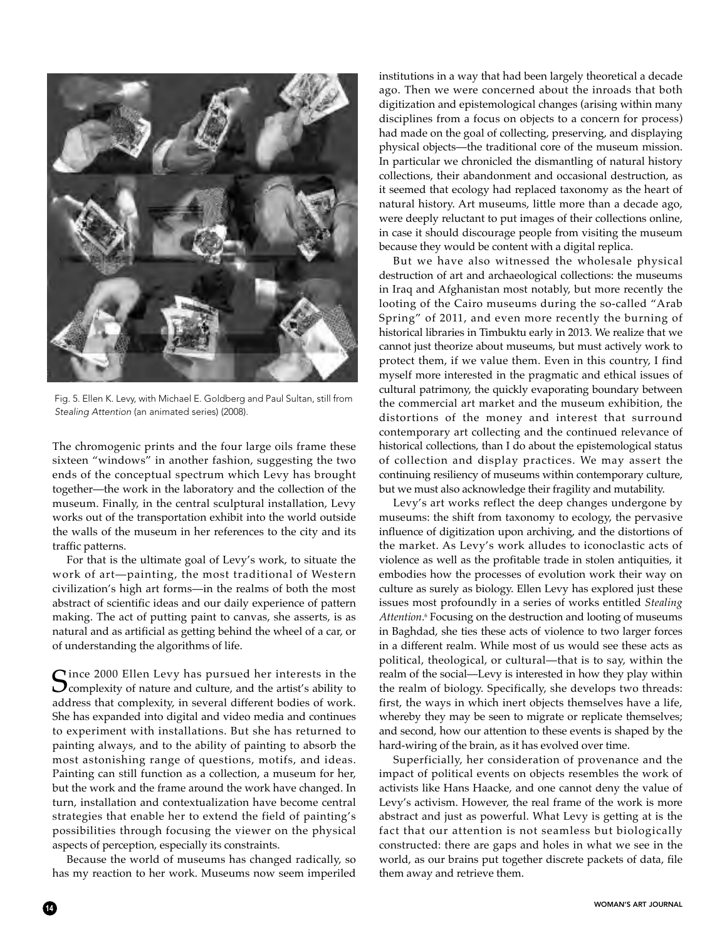

Fig. 5. Ellen K. Levy, with Michael E. Goldberg and Paul Sultan, still from *Stealing Attention* (an animated series) (2008).

The chromogenic prints and the four large oils frame these sixteen "windows" in another fashion, suggesting the two ends of the conceptual spectrum which Levy has brought together—the work in the laboratory and the collection of the museum. Finally, in the central sculptural installation, Levy works out of the transportation exhibit into the world outside the walls of the museum in her references to the city and its traffic patterns.

For that is the ultimate goal of Levy's work, to situate the work of art—painting, the most traditional of Western civilization's high art forms—in the realms of both the most abstract of scientific ideas and our daily experience of pattern making. The act of putting paint to canvas, she asserts, is as natural and as artificial as getting behind the wheel of a car, or of understanding the algorithms of life.

 $C$ ince 2000 Ellen Levy has pursued her interests in the  $\mathbf{\mathcal{O}}$  complexity of nature and culture, and the artist's ability to address that complexity, in several different bodies of work. She has expanded into digital and video media and continues to experiment with installations. But she has returned to painting always, and to the ability of painting to absorb the most astonishing range of questions, motifs, and ideas. Painting can still function as a collection, a museum for her, but the work and the frame around the work have changed. In turn, installation and contextualization have become central strategies that enable her to extend the field of painting's possibilities through focusing the viewer on the physical aspects of perception, especially its constraints.

Because the world of museums has changed radically, so has my reaction to her work. Museums now seem imperiled institutions in a way that had been largely theoretical a decade ago. Then we were concerned about the inroads that both digitization and epistemological changes (arising within many disciplines from a focus on objects to a concern for process) had made on the goal of collecting, preserving, and displaying physical objects—the traditional core of the museum mission. In particular we chronicled the dismantling of natural history collections, their abandonment and occasional destruction, as it seemed that ecology had replaced taxonomy as the heart of natural history. Art museums, little more than a decade ago, were deeply reluctant to put images of their collections online, in case it should discourage people from visiting the museum because they would be content with a digital replica.

But we have also witnessed the wholesale physical destruction of art and archaeological collections: the museums in Iraq and Afghanistan most notably, but more recently the looting of the Cairo museums during the so-called "Arab Spring" of 2011, and even more recently the burning of historical libraries in Timbuktu early in 2013. We realize that we cannot just theorize about museums, but must actively work to protect them, if we value them. Even in this country, I find myself more interested in the pragmatic and ethical issues of cultural patrimony, the quickly evaporating boundary between the commercial art market and the museum exhibition, the distortions of the money and interest that surround contemporary art collecting and the continued relevance of historical collections, than I do about the epistemological status of collection and display practices. We may assert the continuing resiliency of museums within contemporary culture, but we must also acknowledge their fragility and mutability.

Levy's art works reflect the deep changes undergone by museums: the shift from taxonomy to ecology, the pervasive influence of digitization upon archiving, and the distortions of the market. As Levy's work alludes to iconoclastic acts of violence as well as the profitable trade in stolen antiquities, it embodies how the processes of evolution work their way on culture as surely as biology. Ellen Levy has explored just these issues most profoundly in a series of works entitled *Stealing Attention*. <sup>6</sup> Focusing on the destruction and looting of museums in Baghdad, she ties these acts of violence to two larger forces in a different realm. While most of us would see these acts as political, theological, or cultural—that is to say, within the realm of the social—Levy is interested in how they play within the realm of biology. Specifically, she develops two threads: first, the ways in which inert objects themselves have a life, whereby they may be seen to migrate or replicate themselves; and second, how our attention to these events is shaped by the hard-wiring of the brain, as it has evolved over time.

Superficially, her consideration of provenance and the impact of political events on objects resembles the work of activists like Hans Haacke, and one cannot deny the value of Levy's activism. However, the real frame of the work is more abstract and just as powerful. What Levy is getting at is the fact that our attention is not seamless but biologically constructed: there are gaps and holes in what we see in the world, as our brains put together discrete packets of data, file them away and retrieve them.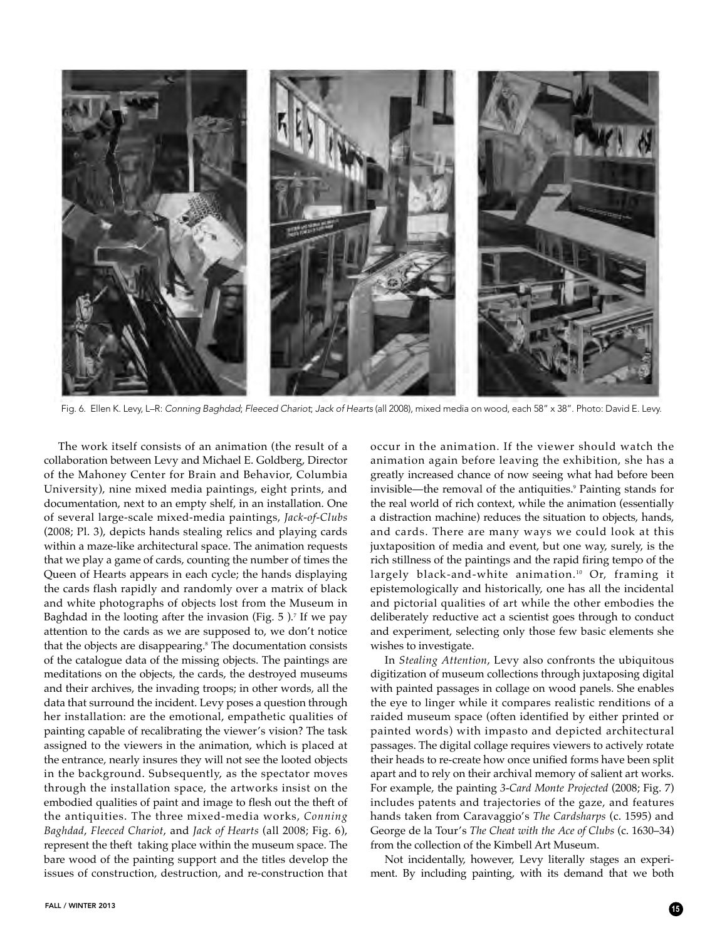

Fig. 6. Ellen K. Levy, L–R: *Conning Baghdad*; *Fleeced Chariot*; *Jack of Hearts* (all 2008), mixed media on wood, each 58" x 38". Photo: David E. Levy.

The work itself consists of an animation (the result of a collaboration between Levy and Michael E. Goldberg, Director of the Mahoney Center for Brain and Behavior, Columbia University), nine mixed media paintings, eight prints, and documentation, next to an empty shelf, in an installation. One of several large-scale mixed-media paintings, *Jack-of-Clubs* (2008; Pl. 3), depicts hands stealing relics and playing cards within a maze-like architectural space. The animation requests that we play a game of cards, counting the number of times the Queen of Hearts appears in each cycle; the hands displaying the cards flash rapidly and randomly over a matrix of black and white photographs of objects lost from the Museum in Baghdad in the looting after the invasion (Fig.  $5$  ).<sup>7</sup> If we pay attention to the cards as we are supposed to, we don't notice that the objects are disappearing.<sup>8</sup> The documentation consists of the catalogue data of the missing objects. The paintings are meditations on the objects, the cards, the destroyed museums and their archives, the invading troops; in other words, all the data that surround the incident. Levy poses a question through her installation: are the emotional, empathetic qualities of painting capable of recalibrating the viewer's vision? The task assigned to the viewers in the animation, which is placed at the entrance, nearly insures they will not see the looted objects in the background. Subsequently, as the spectator moves through the installation space, the artworks insist on the embodied qualities of paint and image to flesh out the theft of the antiquities. The three mixed-media works, *Conning Baghdad*, *Fleeced Chariot*, and *Jack of Hearts* (all 2008; Fig. 6), represent the theft taking place within the museum space. The bare wood of the painting support and the titles develop the issues of construction, destruction, and re-construction that

occur in the animation. If the viewer should watch the animation again before leaving the exhibition, she has a greatly increased chance of now seeing what had before been invisible—the removal of the antiquities.<sup>9</sup> Painting stands for the real world of rich context, while the animation (essentially a distraction machine) reduces the situation to objects, hands, and cards. There are many ways we could look at this juxtaposition of media and event, but one way, surely, is the rich stillness of the paintings and the rapid firing tempo of the largely black-and-white animation.<sup>10</sup> Or, framing it epistemologically and historically, one has all the incidental and pictorial qualities of art while the other embodies the deliberately reductive act a scientist goes through to conduct and experiment, selecting only those few basic elements she wishes to investigate.

In *Stealing Attention*, Levy also confronts the ubiquitous digitization of museum collections through juxtaposing digital with painted passages in collage on wood panels. She enables the eye to linger while it compares realistic renditions of a raided museum space (often identified by either printed or painted words) with impasto and depicted architectural passages. The digital collage requires viewers to actively rotate their heads to re-create how once unified forms have been split apart and to rely on their archival memory of salient art works. For example, the painting *3-Card Monte Projected* (2008; Fig. 7) includes patents and trajectories of the gaze, and features hands taken from Caravaggio's *The Cardsharps* (c. 1595) and George de la Tour's *The Cheat with the Ace of Clubs* (c. 1630–34) from the collection of the Kimbell Art Museum.

Not incidentally, however, Levy literally stages an experiment. By including painting, with its demand that we both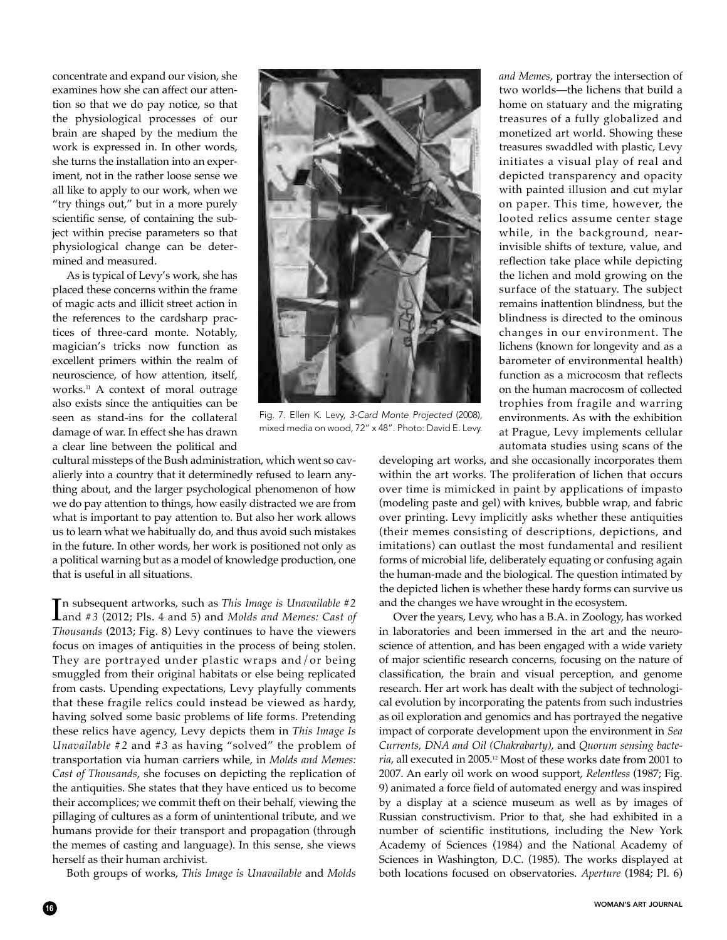concentrate and expand our vision, she examines how she can affect our attention so that we do pay notice, so that the physiological processes of our brain are shaped by the medium the work is expressed in. In other words, she turns the installation into an experiment, not in the rather loose sense we all like to apply to our work, when we "try things out," but in a more purely scientific sense, of containing the subject within precise parameters so that physiological change can be determined and measured.

As is typical of Levy's work, she has placed these concerns within the frame of magic acts and illicit street action in the references to the cardsharp practices of three-card monte. Notably, magician's tricks now function as excellent primers within the realm of neuroscience, of how attention, itself, works.<sup>11</sup> A context of moral outrage also exists since the antiquities can be seen as stand-ins for the collateral damage of war. In effect she has drawn a clear line between the political and

Fig. 7. Ellen K. Levy, *3-Card Monte Projected* (2008), mixed media on wood, 72" x 48". Photo: David E. Levy.

cultural missteps of the Bush administration, which went so cavalierly into a country that it determinedly refused to learn anything about, and the larger psychological phenomenon of how we do pay attention to things, how easily distracted we are from what is important to pay attention to. But also her work allows us to learn what we habitually do, and thus avoid such mistakes in the future. In other words, her work is positioned not only as a political warning but as a model of knowledge production, one that is useful in all situations.

In subsequent artworks, such as *This Image is Unavailable #2*<br>and #3 (2012; Pls. 4 and 5) and *Molds and Memes: Cast of* n subsequent artworks, such as *This Image is Unavailable #2 Thousands* (2013; Fig. 8) Levy continues to have the viewers focus on images of antiquities in the process of being stolen. They are portrayed under plastic wraps and/or being smuggled from their original habitats or else being replicated from casts. Upending expectations, Levy playfully comments that these fragile relics could instead be viewed as hardy, having solved some basic problems of life forms. Pretending these relics have agency, Levy depicts them in *This Image Is Unavailable #2* and *#3* as having "solved" the problem of transportation via human carriers while, in *Molds and Memes: Cast of Thousands*, she focuses on depicting the replication of the antiquities. She states that they have enticed us to become their accomplices; we commit theft on their behalf, viewing the pillaging of cultures as a form of unintentional tribute, and we humans provide for their transport and propagation (through the memes of casting and language). In this sense, she views herself as their human archivist.

Both groups of works, *This Image is Unavailable* and *Molds*

developing art works, and she occasionally incorporates them within the art works. The proliferation of lichen that occurs over time is mimicked in paint by applications of impasto (modeling paste and gel) with knives, bubble wrap, and fabric over printing. Levy implicitly asks whether these antiquities (their memes consisting of descriptions, depictions, and imitations) can outlast the most fundamental and resilient forms of microbial life, deliberately equating or confusing again the human-made and the biological. The question intimated by the depicted lichen is whether these hardy forms can survive us and the changes we have wrought in the ecosystem.

*and Memes*, portray the intersection of two worlds—the lichens that build a home on statuary and the migrating treasures of a fully globalized and monetized art world. Showing these treasures swaddled with plastic, Levy initiates a visual play of real and depicted transparency and opacity with painted illusion and cut mylar on paper. This time, however, the looted relics assume center stage while, in the background, nearinvisible shifts of texture, value, and reflection take place while depicting the lichen and mold growing on the surface of the statuary. The subject remains inattention blindness, but the blindness is directed to the ominous changes in our environment. The lichens (known for longevity and as a barometer of environmental health) function as a microcosm that reflects on the human macrocosm of collected trophies from fragile and warring environments. As with the exhibition at Prague, Levy implements cellular automata studies using scans of the

Over the years, Levy, who has a B.A. in Zoology, has worked in laboratories and been immersed in the art and the neuroscience of attention, and has been engaged with a wide variety of major scientific research concerns, focusing on the nature of classification, the brain and visual perception, and genome research. Her art work has dealt with the subject of technological evolution by incorporating the patents from such industries as oil exploration and genomics and has portrayed the negative impact of corporate development upon the environment in *Sea Currents, DNA and Oil (Chakrabarty)*, and *Quorum sensing bacteria*, all executed in 2005.12 Most of these works date from 2001 to 2007. An early oil work on wood support, *Relentless* (1987; Fig. 9) animated a force field of automated energy and was inspired by a display at a science museum as well as by images of Russian constructivism. Prior to that, she had exhibited in a number of scientific institutions, including the New York Academy of Sciences (1984) and the National Academy of Sciences in Washington, D.C. (1985). The works displayed at both locations focused on observatories. *Aperture* (1984; Pl. 6)

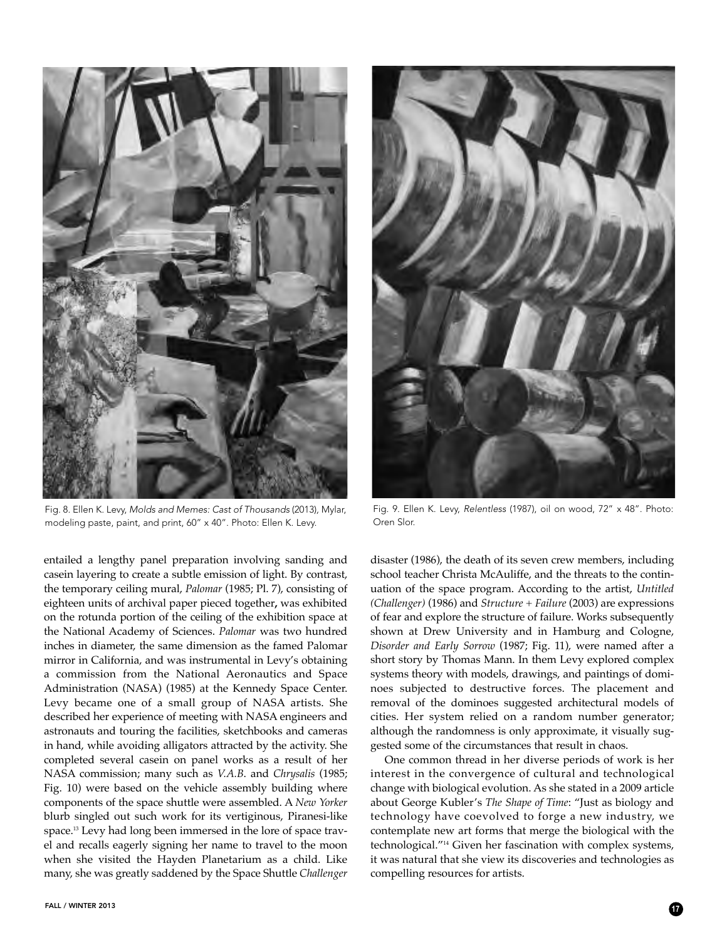

Fig. 8. Ellen K. Levy, *Molds and Memes: Cast of Thousands* (2013)*,* Mylar, modeling paste, paint, and print, 60" x 40". Photo: Ellen K. Levy.

entailed a lengthy panel preparation involving sanding and casein layering to create a subtle emission of light. By contrast, the temporary ceiling mural, *Palomar* (1985; Pl. 7), consisting of eighteen units of archival paper pieced together**,** was exhibited on the rotunda portion of the ceiling of the exhibition space at the National Academy of Sciences. *Palomar* was two hundred inches in diameter, the same dimension as the famed Palomar mirror in California, and was instrumental in Levy's obtaining a commission from the National Aeronautics and Space Administration (NASA) (1985) at the Kennedy Space Center. Levy became one of a small group of NASA artists. She described her experience of meeting with NASA engineers and astronauts and touring the facilities, sketchbooks and cameras in hand, while avoiding alligators attracted by the activity. She completed several casein on panel works as a result of her NASA commission; many such as *V.A.B*. and *Chrysalis* (1985; Fig. 10) were based on the vehicle assembly building where components of the space shuttle were assembled. A *New Yorker* blurb singled out such work for its vertiginous, Piranesi-like space.13 Levy had long been immersed in the lore of space travel and recalls eagerly signing her name to travel to the moon when she visited the Hayden Planetarium as a child. Like many, she was greatly saddened by the Space Shuttle *Challenger*



Fig. 9. Ellen K. Levy, *Relentless* (1987), oil on wood, 72" x 48". Photo: Oren Slor.

disaster (1986), the death of its seven crew members, including school teacher Christa McAuliffe, and the threats to the continuation of the space program. According to the artist, *Untitled (Challenger)* (1986) and *Structure + Failure* (2003) are expressions of fear and explore the structure of failure. Works subsequently shown at Drew University and in Hamburg and Cologne, *Disorder and Early Sorrow* (1987; Fig. 11), were named after a short story by Thomas Mann. In them Levy explored complex systems theory with models, drawings, and paintings of dominoes subjected to destructive forces. The placement and removal of the dominoes suggested architectural models of cities. Her system relied on a random number generator; although the randomness is only approximate, it visually suggested some of the circumstances that result in chaos.

One common thread in her diverse periods of work is her interest in the convergence of cultural and technological change with biological evolution. As she stated in a 2009 article about George Kubler's *The Shape of Time*: "Just as biology and technology have coevolved to forge a new industry, we contemplate new art forms that merge the biological with the technological."14 Given her fascination with complex systems, it was natural that she view its discoveries and technologies as compelling resources for artists.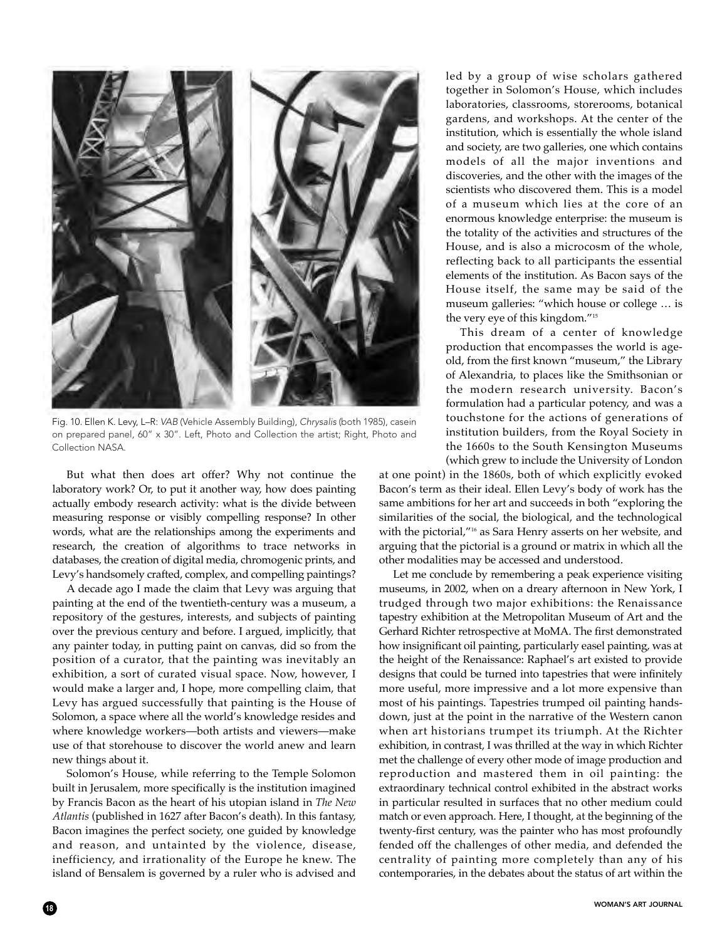

Fig. 10. Ellen K. Levy, L–R: *VAB* (Vehicle Assembly Building), *Chrysalis* (both 1985), casein on prepared panel, 60" x 30". Left, Photo and Collection the artist; Right, Photo and Collection NASA.

But what then does art offer? Why not continue the laboratory work? Or, to put it another way, how does painting actually embody research activity: what is the divide between measuring response or visibly compelling response? In other words, what are the relationships among the experiments and research, the creation of algorithms to trace networks in databases, the creation of digital media, chromogenic prints, and Levy's handsomely crafted, complex, and compelling paintings?

A decade ago I made the claim that Levy was arguing that painting at the end of the twentieth-century was a museum, a repository of the gestures, interests, and subjects of painting over the previous century and before. I argued, implicitly, that any painter today, in putting paint on canvas, did so from the position of a curator, that the painting was inevitably an exhibition, a sort of curated visual space. Now, however, I would make a larger and, I hope, more compelling claim, that Levy has argued successfully that painting is the House of Solomon, a space where all the world's knowledge resides and where knowledge workers—both artists and viewers—make use of that storehouse to discover the world anew and learn new things about it.

Solomon's House, while referring to the Temple Solomon built in Jerusalem, more specifically is the institution imagined by Francis Bacon as the heart of his utopian island in *The New Atlantis* (published in 1627 after Bacon's death). In this fantasy, Bacon imagines the perfect society, one guided by knowledge and reason, and untainted by the violence, disease, inefficiency, and irrationality of the Europe he knew. The island of Bensalem is governed by a ruler who is advised and

led by a group of wise scholars gathered together in Solomon's House, which includes laboratories, classrooms, storerooms, botanical gardens, and workshops. At the center of the institution, which is essentially the whole island and society, are two galleries, one which contains models of all the major inventions and discoveries, and the other with the images of the scientists who discovered them. This is a model of a museum which lies at the core of an enormous knowledge enterprise: the museum is the totality of the activities and structures of the House, and is also a microcosm of the whole, reflecting back to all participants the essential elements of the institution. As Bacon says of the House itself, the same may be said of the museum galleries: "which house or college … is the very eye of this kingdom."15

This dream of a center of knowledge production that encompasses the world is ageold, from the first known "museum," the Library of Alexandria, to places like the Smithsonian or the modern research university. Bacon's formulation had a particular potency, and was a touchstone for the actions of generations of institution builders, from the Royal Society in the 1660s to the South Kensington Museums (which grew to include the University of London

at one point) in the 1860s, both of which explicitly evoked Bacon's term as their ideal. Ellen Levy's body of work has the same ambitions for her art and succeeds in both "exploring the similarities of the social, the biological, and the technological with the pictorial,"16 as Sara Henry asserts on her website, and arguing that the pictorial is a ground or matrix in which all the other modalities may be accessed and understood.

Let me conclude by remembering a peak experience visiting museums, in 2002, when on a dreary afternoon in New York, I trudged through two major exhibitions: the Renaissance tapestry exhibition at the Metropolitan Museum of Art and the Gerhard Richter retrospective at MoMA. The first demonstrated how insignificant oil painting, particularly easel painting, was at the height of the Renaissance: Raphael's art existed to provide designs that could be turned into tapestries that were infinitely more useful, more impressive and a lot more expensive than most of his paintings. Tapestries trumped oil painting handsdown, just at the point in the narrative of the Western canon when art historians trumpet its triumph. At the Richter exhibition, in contrast, I was thrilled at the way in which Richter met the challenge of every other mode of image production and reproduction and mastered them in oil painting: the extraordinary technical control exhibited in the abstract works in particular resulted in surfaces that no other medium could match or even approach. Here, I thought, at the beginning of the twenty-first century, was the painter who has most profoundly fended off the challenges of other media, and defended the centrality of painting more completely than any of his contemporaries, in the debates about the status of art within the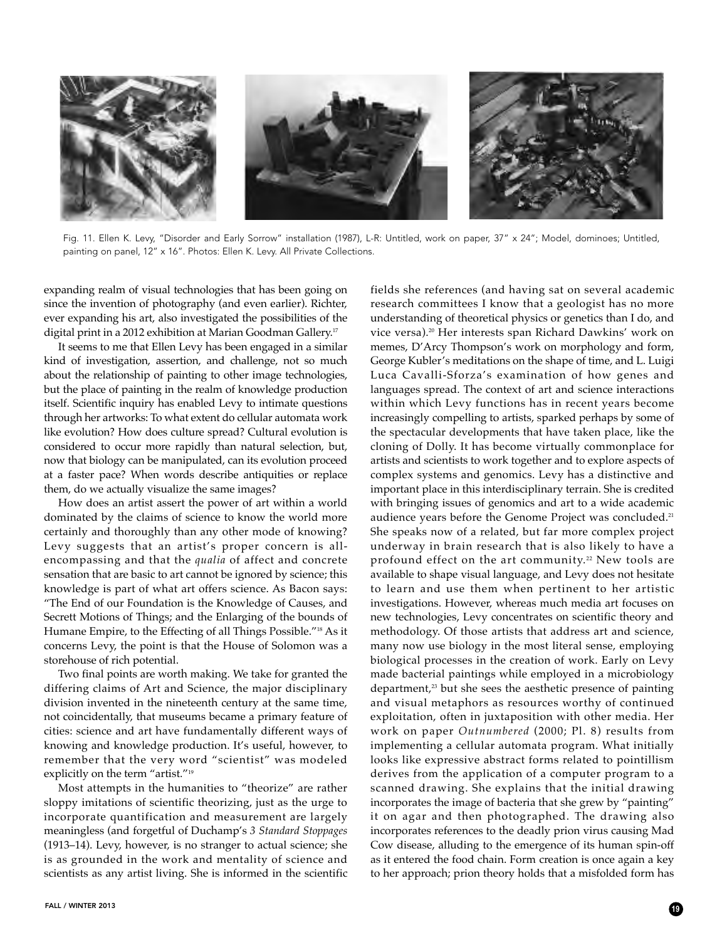

Fig. 11. Ellen K. Levy, "Disorder and Early Sorrow" installation (1987), L-R: Untitled, work on paper, 37" x 24"; Model, dominoes; Untitled, painting on panel, 12" x 16". Photos: Ellen K. Levy. All Private Collections.

expanding realm of visual technologies that has been going on since the invention of photography (and even earlier). Richter, ever expanding his art, also investigated the possibilities of the digital print in a 2012 exhibition at Marian Goodman Gallery.17

It seems to me that Ellen Levy has been engaged in a similar kind of investigation, assertion, and challenge, not so much about the relationship of painting to other image technologies, but the place of painting in the realm of knowledge production itself. Scientific inquiry has enabled Levy to intimate questions through her artworks: To what extent do cellular automata work like evolution? How does culture spread? Cultural evolution is considered to occur more rapidly than natural selection, but, now that biology can be manipulated, can its evolution proceed at a faster pace? When words describe antiquities or replace them, do we actually visualize the same images?

How does an artist assert the power of art within a world dominated by the claims of science to know the world more certainly and thoroughly than any other mode of knowing? Levy suggests that an artist's proper concern is allencompassing and that the *qualia* of affect and concrete sensation that are basic to art cannot be ignored by science; this knowledge is part of what art offers science. As Bacon says: "The End of our Foundation is the Knowledge of Causes, and Secrett Motions of Things; and the Enlarging of the bounds of Humane Empire, to the Effecting of all Things Possible."18 As it concerns Levy, the point is that the House of Solomon was a storehouse of rich potential.

Two final points are worth making. We take for granted the differing claims of Art and Science, the major disciplinary division invented in the nineteenth century at the same time, not coincidentally, that museums became a primary feature of cities: science and art have fundamentally different ways of knowing and knowledge production. It's useful, however, to remember that the very word "scientist" was modeled explicitly on the term "artist."19

Most attempts in the humanities to "theorize" are rather sloppy imitations of scientific theorizing, just as the urge to incorporate quantification and measurement are largely meaningless (and forgetful of Duchamp's *3 Standard Stoppages* (1913–14). Levy, however, is no stranger to actual science; she is as grounded in the work and mentality of science and scientists as any artist living. She is informed in the scientific fields she references (and having sat on several academic research committees I know that a geologist has no more understanding of theoretical physics or genetics than I do, and vice versa).20 Her interests span Richard Dawkins' work on memes, D'Arcy Thompson's work on morphology and form, George Kubler's meditations on the shape of time, and L. Luigi Luca Cavalli-Sforza's examination of how genes and languages spread. The context of art and science interactions within which Levy functions has in recent years become increasingly compelling to artists, sparked perhaps by some of the spectacular developments that have taken place, like the cloning of Dolly. It has become virtually commonplace for artists and scientists to work together and to explore aspects of complex systems and genomics. Levy has a distinctive and important place in this interdisciplinary terrain. She is credited with bringing issues of genomics and art to a wide academic audience years before the Genome Project was concluded.<sup>21</sup> She speaks now of a related, but far more complex project underway in brain research that is also likely to have a profound effect on the art community.<sup>22</sup> New tools are available to shape visual language, and Levy does not hesitate to learn and use them when pertinent to her artistic investigations. However, whereas much media art focuses on new technologies, Levy concentrates on scientific theory and methodology. Of those artists that address art and science, many now use biology in the most literal sense, employing biological processes in the creation of work. Early on Levy made bacterial paintings while employed in a microbiology department,<sup>23</sup> but she sees the aesthetic presence of painting and visual metaphors as resources worthy of continued exploitation, often in juxtaposition with other media. Her work on paper *Outnumbered* (2000; Pl. 8) results from implementing a cellular automata program. What initially looks like expressive abstract forms related to pointillism derives from the application of a computer program to a scanned drawing. She explains that the initial drawing incorporates the image of bacteria that she grew by "painting" it on agar and then photographed. The drawing also incorporates references to the deadly prion virus causing Mad Cow disease, alluding to the emergence of its human spin-off as it entered the food chain. Form creation is once again a key to her approach; prion theory holds that a misfolded form has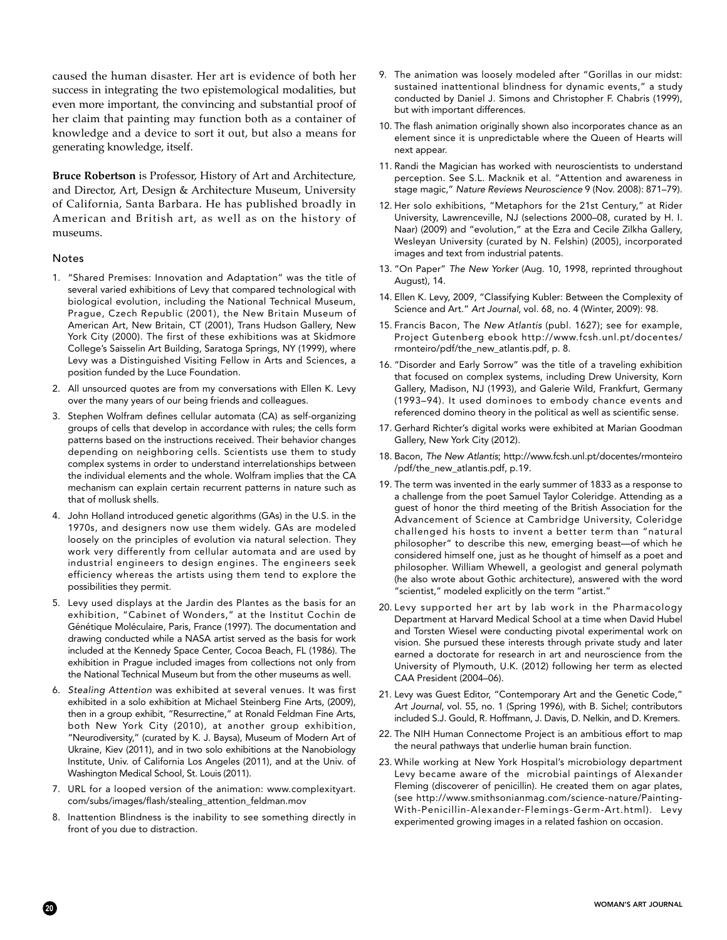caused the human disaster. Her art is evidence of both her success in integrating the two epistemological modalities, but even more important, the convincing and substantial proof of her claim that painting may function both as a container of knowledge and a device to sort it out, but also a means for generating knowledge, itself.

**Bruce Robertson** is Professor, History of Art and Architecture, and Director, Art, Design & Architecture Museum, University of California, Santa Barbara. He has published broadly in American and British art, as well as on the history of museums.

## Notes

- 1. "Shared Premises: Innovation and Adaptation" was the title of several varied exhibitions of Levy that compared technological with biological evolution, including the National Technical Museum, Prague, Czech Republic (2001), the New Britain Museum of American Art, New Britain, CT (2001), Trans Hudson Gallery, New York City (2000). The first of these exhibitions was at Skidmore College's Saisselin Art Building, Saratoga Springs, NY (1999), where Levy was a Distinguished Visiting Fellow in Arts and Sciences, a position funded by the Luce Foundation.
- 2. All unsourced quotes are from my conversations with Ellen K. Levy over the many years of our being friends and colleagues.
- 3. Stephen Wolfram defines cellular automata (CA) as self-organizing groups of cells that develop in accordance with rules; the cells form patterns based on the instructions received. Their behavior changes depending on neighboring cells. Scientists use them to study complex systems in order to understand interrelationships between the individual elements and the whole. Wolfram implies that the CA mechanism can explain certain recurrent patterns in nature such as that of mollusk shells.
- 4. John Holland introduced genetic algorithms (GAs) in the U.S. in the 1970s, and designers now use them widely. GAs are modeled loosely on the principles of evolution via natural selection. They work very differently from cellular automata and are used by industrial engineers to design engines. The engineers seek efficiency whereas the artists using them tend to explore the possibilities they permit.
- 5. Levy used displays at the Jardin des Plantes as the basis for an exhibition, "Cabinet of Wonders," at the Institut Cochin de Génétique Moléculaire, Paris, France (1997). The documentation and drawing conducted while a NASA artist served as the basis for work included at the Kennedy Space Center, Cocoa Beach, FL (1986). The exhibition in Prague included images from collections not only from the National Technical Museum but from the other museums as well.
- 6. *Stealing Attention* was exhibited at several venues. It was first exhibited in a solo exhibition at Michael Steinberg Fine Arts, (2009), then in a group exhibit, "Resurrectine," at Ronald Feldman Fine Arts, both New York City (2010), at another group exhibition, "Neurodiversity," (curated by K. J. Baysa), Museum of Modern Art of Ukraine, Kiev (2011), and in two solo exhibitions at the Nanobiology Institute, Univ. of California Los Angeles (2011), and at the Univ. of Washington Medical School, St. Louis (2011).
- 7. URL for a looped version of the animation: www.complexityart. com/subs/images/flash/stealing\_attention\_feldman.mov
- 8. Inattention Blindness is the inability to see something directly in front of you due to distraction.
- 9. The animation was loosely modeled after "Gorillas in our midst: sustained inattentional blindness for dynamic events," a study conducted by Daniel J. Simons and Christopher F. Chabris (1999), but with important differences.
- 10. The flash animation originally shown also incorporates chance as an element since it is unpredictable where the Queen of Hearts will next appear.
- 11. Randi the Magician has worked with neuroscientists to understand perception. See S.L. Macknik et al. "Attention and awareness in stage magic," *Nature Reviews Neuroscience* 9 (Nov. 2008): 871–79).
- 12. Her solo exhibitions, "Metaphors for the 21st Century," at Rider University, Lawrenceville, NJ (selections 2000–08, curated by H. I. Naar) (2009) and "evolution," at the Ezra and Cecile Zilkha Gallery, Wesleyan University (curated by N. Felshin) (2005), incorporated images and text from industrial patents.
- 13. "On Paper" *The New Yorker* (Aug. 10, 1998, reprinted throughout August), 14.
- 14. Ellen K. Levy, 2009, "Classifying Kubler: Between the Complexity of Science and Art." *Art Journal*, vol. 68, no. 4 (Winter, 2009): 98.
- 15. Francis Bacon, The *New Atlantis* (publ. 1627); see for example, Project Gutenberg ebook http://www.fcsh.unl.pt/docentes/ rmonteiro/pdf/the\_new\_atlantis.pdf, p. 8.
- 16. "Disorder and Early Sorrow" was the title of a traveling exhibition that focused on complex systems, including Drew University, Korn Gallery, Madison, NJ (1993), and Galerie Wild, Frankfurt, Germany (1993–94). It used dominoes to embody chance events and referenced domino theory in the political as well as scientific sense.
- 17. Gerhard Richter's digital works were exhibited at Marian Goodman Gallery, New York City (2012).
- 18. Bacon, *The New Atlantis*; http://www.fcsh.unl.pt/docentes/rmonteiro /pdf/the\_new\_atlantis.pdf, p.19.
- 19. The term was invented in the early summer of 1833 as a response to a challenge from the poet Samuel Taylor Coleridge. Attending as a guest of honor the third meeting of the British Association for the Advancement of Science at Cambridge University, Coleridge challenged his hosts to invent a better term than "natural philosopher" to describe this new, emerging beast—of which he considered himself one, just as he thought of himself as a poet and philosopher. William Whewell, a geologist and general polymath (he also wrote about Gothic architecture), answered with the word "scientist," modeled explicitly on the term "artist."
- 20. Levy supported her art by lab work in the Pharmacology Department at Harvard Medical School at a time when David Hubel and Torsten Wiesel were conducting pivotal experimental work on vision. She pursued these interests through private study and later earned a doctorate for research in art and neuroscience from the University of Plymouth, U.K. (2012) following her term as elected CAA President (2004–06).
- 21. Levy was Guest Editor, "Contemporary Art and the Genetic Code," *Art Journal*, vol. 55, no. 1 (Spring 1996), with B. Sichel; contributors included S.J. Gould, R. Hoffmann, J. Davis, D. Nelkin, and D. Kremers.
- 22. The NIH Human Connectome Project is an ambitious effort to map the neural pathways that underlie human brain function.
- 23. While working at New York Hospital's microbiology department Levy became aware of the microbial paintings of Alexander Fleming (discoverer of penicillin). He created them on agar plates, (see http://www.smithsonianmag.com/science-nature/Painting-With-Penicillin-Alexander-Flemings-Germ-Art.html). Levy experimented growing images in a related fashion on occasion.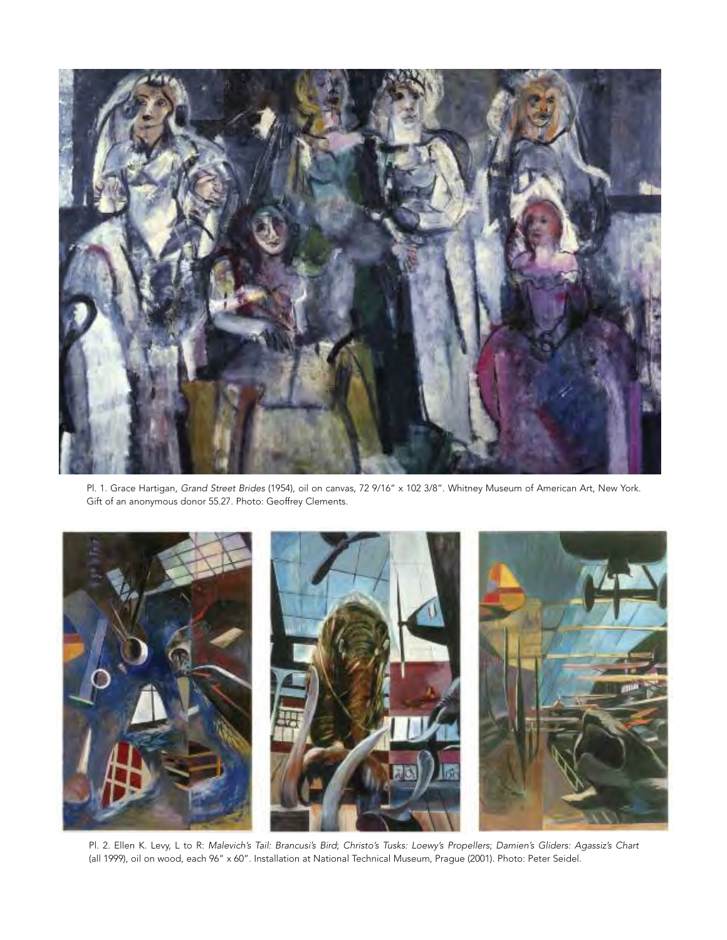

Pl. 1. Grace Hartigan, *Grand Street Brides* (1954), oil on canvas, 72 9/16" x 102 3/8". Whitney Museum of American Art, New York. Gift of an anonymous donor 55.27. Photo: Geoffrey Clements.



Pl. 2. Ellen K. Levy, L to R: *Malevich's Tail: Brancusi's Bird*; *Christo's Tusks: Loewy's Propellers*; *Damien's Gliders: Agassiz's Chart* (all 1999), oil on wood, each 96" x 60". Installation at National Technical Museum, Prague (2001). Photo: Peter Seidel.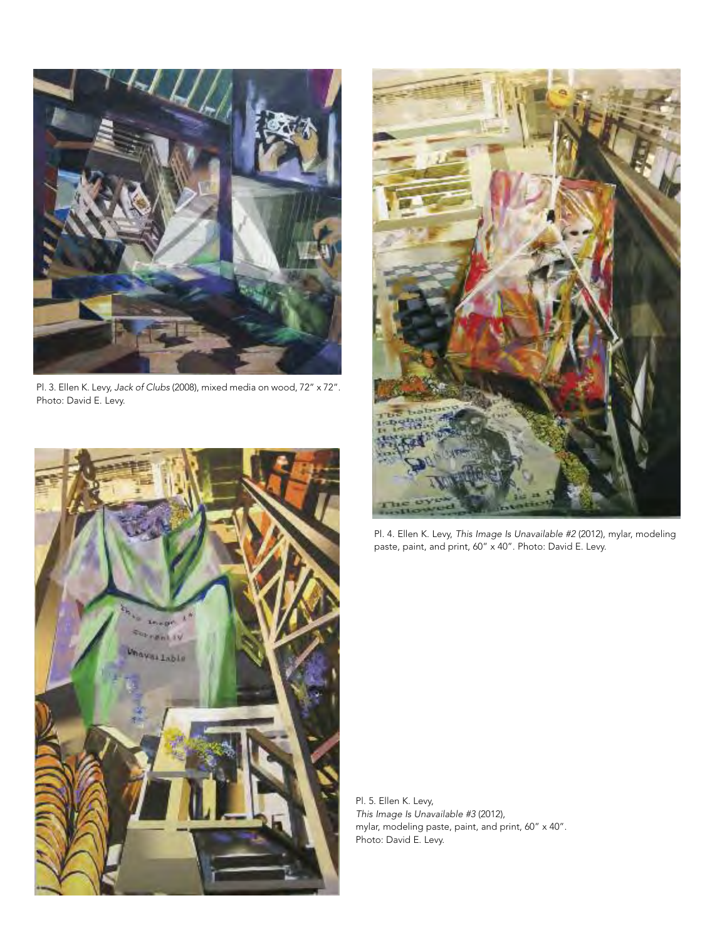

Pl. 3. Ellen K. Levy, *Jack of Clubs* (2008), mixed media on wood, 72" x 72". Photo: David E. Levy.





Pl. 4. Ellen K. Levy, *This Image Is Unavailable #2* (2012), mylar, modeling paste, paint, and print, 60" x 40". Photo: David E. Levy.

Pl. 5. Ellen K. Levy, *This Image Is Unavailable #3* (2012), mylar, modeling paste, paint, and print, 60" x 40". Photo: David E. Levy.